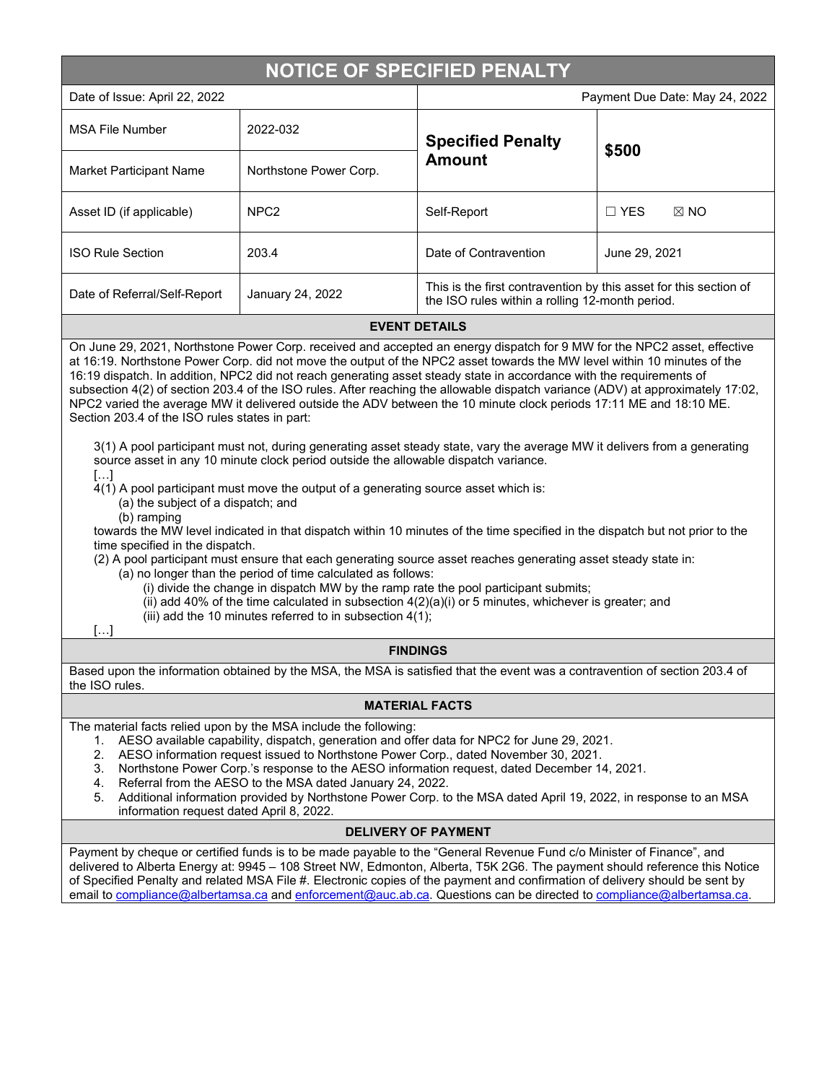# **NOTICE OF SPECIFIED PENALTY**

| Date of Issue: April 22, 2022  |                        | Payment Due Date: May 24, 2022                                                                                       |                                              |
|--------------------------------|------------------------|----------------------------------------------------------------------------------------------------------------------|----------------------------------------------|
| <b>MSA File Number</b>         | 2022-032               | <b>Specified Penalty</b><br><b>Amount</b>                                                                            | \$500                                        |
| <b>Market Participant Name</b> | Northstone Power Corp. |                                                                                                                      |                                              |
| Asset ID (if applicable)       | NPC <sub>2</sub>       | Self-Report                                                                                                          | <b>YES</b><br>$\boxtimes$ NO<br>$\mathbf{L}$ |
| <b>ISO Rule Section</b>        | 203.4                  | Date of Contravention                                                                                                | June 29, 2021                                |
| Date of Referral/Self-Report   | January 24, 2022       | This is the first contravention by this asset for this section of<br>the ISO rules within a rolling 12-month period. |                                              |

#### **EVENT DETAILS**

On June 29, 2021, Northstone Power Corp. received and accepted an energy dispatch for 9 MW for the NPC2 asset, effective at 16:19. Northstone Power Corp. did not move the output of the NPC2 asset towards the MW level within 10 minutes of the 16:19 dispatch. In addition, NPC2 did not reach generating asset steady state in accordance with the requirements of subsection 4(2) of section 203.4 of the ISO rules. After reaching the allowable dispatch variance (ADV) at approximately 17:02, NPC2 varied the average MW it delivered outside the ADV between the 10 minute clock periods 17:11 ME and 18:10 ME. Section 203.4 of the ISO rules states in part:

3(1) A pool participant must not, during generating asset steady state, vary the average MW it delivers from a generating source asset in any 10 minute clock period outside the allowable dispatch variance. […]

 $4(1)$  A pool participant must move the output of a generating source asset which is:

- (a) the subject of a dispatch; and
- (b) ramping

towards the MW level indicated in that dispatch within 10 minutes of the time specified in the dispatch but not prior to the time specified in the dispatch.

(2) A pool participant must ensure that each generating source asset reaches generating asset steady state in:

(a) no longer than the period of time calculated as follows:

(i) divide the change in dispatch MW by the ramp rate the pool participant submits;

- (ii) add 40% of the time calculated in subsection  $4(2)(a)(i)$  or 5 minutes, whichever is greater; and
- (iii) add the 10 minutes referred to in subsection  $4(1)$ ;
- […]

### **FINDINGS**

Based upon the information obtained by the MSA, the MSA is satisfied that the event was a contravention of section 203.4 of the ISO rules.

### **MATERIAL FACTS**

The material facts relied upon by the MSA include the following:

- 1. AESO available capability, dispatch, generation and offer data for NPC2 for June 29, 2021.
- 2. AESO information request issued to Northstone Power Corp., dated November 30, 2021.
- 3. Northstone Power Corp.'s response to the AESO information request, dated December 14, 2021.
- 4. Referral from the AESO to the MSA dated January 24, 2022.
- 5. Additional information provided by Northstone Power Corp. to the MSA dated April 19, 2022, in response to an MSA information request dated April 8, 2022.

### **DELIVERY OF PAYMENT**

Payment by cheque or certified funds is to be made payable to the "General Revenue Fund c/o Minister of Finance", and delivered to Alberta Energy at: 9945 – 108 Street NW, Edmonton, Alberta, T5K 2G6. The payment should reference this Notice of Specified Penalty and related MSA File #. Electronic copies of the payment and confirmation of delivery should be sent by email to [compliance@albertamsa.ca](mailto:compliance@albertamsa.ca) and [enforcement@auc.ab.ca.](mailto:enforcement@auc.ab.ca) Questions can be directed to [compliance@albertamsa.ca.](mailto:compliance@albertamsa.ca)